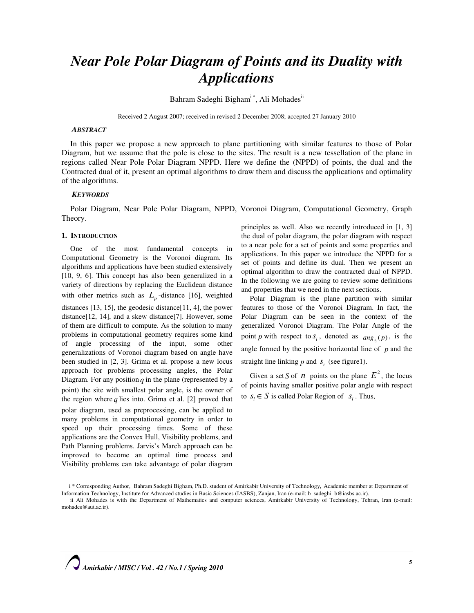# Near Pole Polar Diagram of Points and its Duality with Applications

Bahram Sadeghi Bigham<sup>i\*</sup>, Ali Mohades<sup>ii</sup>

Received 2 August 2007; received in revised 2 December 2008; accepted 27 January 2010

# **ABSTRACT**

In this paper we propose a new approach to plane partitioning with similar features to those of Polar Diagram, but we assume that the pole is close to the sites. The result is a new tessellation of the plane in regions called Near Pole Polar Diagram NPPD. Here we define the (NPPD) of points, the dual and the Contracted dual of it, present an optimal algorithms to draw them and discuss the applications and optimality of the algorithms.

## **KEYWORDS**

Polar Diagram, Near Pole Polar Diagram, NPPD, Voronoi Diagram, Computational Geometry, Graph Theory.

## 1. INTRODUCTION

 $\overline{a}$ 

One of the most fundamental concepts in Computational Geometry is the Voronoi diagram. Its algorithms and applications have been studied extensively [10, 9, 6]. This concept has also been generalized in a variety of directions by replacing the Euclidean distance with other metrics such as  $L_p$ -distance [16], weighted distances [13, 15], the geodesic distance[11, 4], the power distance[12, 14], and a skew distance[7]. However, some of them are difficult to compute. As the solution to many problems in computational geometry requires some kind of angle processing of the input, some other generalizations of Voronoi diagram based on angle have been studied in [2, 3]. Grima et al. propose a new locus approach for problems processing angles, the Polar Diagram. For any position  $q$  in the plane (represented by a point) the site with smallest polar angle, is the owner of the region where  $q$  lies into. Grima et al. [2] proved that polar diagram, used as preprocessing, can be applied to many problems in computational geometry in order to speed up their processing times. Some of these applications are the Convex Hull, Visibility problems, and Path Planning problems. Jarvis's March approach can be improved to become an optimal time process and Visibility problems can take advantage of polar diagram

principles as well. Also we recently introduced in [1, 3] the dual of polar diagram, the polar diagram with respect to a near pole for a set of points and some properties and applications. In this paper we introduce the NPPD for a set of points and define its dual. Then we present an optimal algorithm to draw the contracted dual of NPPD. In the following we are going to review some definitions and properties that we need in the next sections.

Polar Diagram is the plane partition with similar features to those of the Voronoi Diagram. In fact, the Polar Diagram can be seen in the context of the generalized Voronoi Diagram. The Polar Angle of the point p with respect to  $s_i$ , denoted as  $\arg(s_i(p))$ , is the i angle formed by the positive horizontal line of  $p$  and the straight line linking  $p$  and  $s_i$  (see figure1).

Given a set S of  $n$  points on the plane  $E^2$ , the locus of points having smaller positive polar angle with respect to  $s_i \in S$  is called Polar Region of  $s_i$ . Thus,

i \* Corresponding Author, Bahram Sadeghi Bigham, Ph.D. student of Amirkabir University of Technology, Academic member at Department of Information Technology, Institute for Advanced studies in Basic Sciences (IASBS), Zanjan, Iran (e-mail: b\_sadeghi\_b@iasbs.ac.ir).

ii Ali Mohades is with the Department of Mathematics and computer sciences, Amirkabir University of Technology, Tehran, Iran (e-mail: mohades@aut.ac.ir).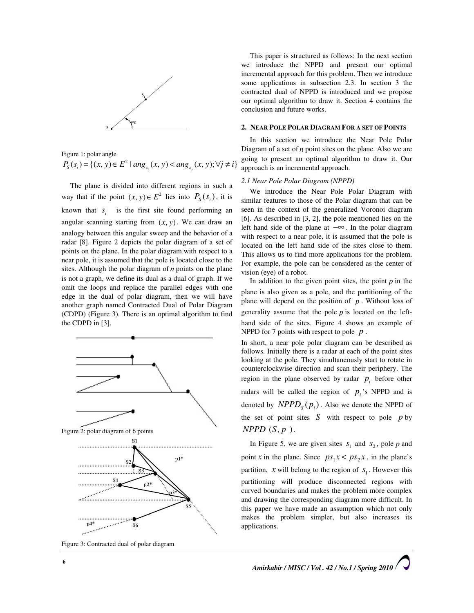

Figure 1: polar angle  

$$
P_{S}(s_i) = \{(x, y) \in E^2 \mid \arg_{s_i}(x, y) < \arg_{s_j}(x, y); \forall j \neq i\}
$$

The plane is divided into different regions in such a way that if the point  $(x, y) \in E^2$  lies into  $P_S(s_i)$ , it is known that  $s_i$  is the first site found performing an angular scanning starting from  $(x, y)$ . We can draw an analogy between this angular sweep and the behavior of a radar [8]. Figure 2 depicts the polar diagram of a set of points on the plane. In the polar diagram with respect to a near pole, it is assumed that the pole is located close to the sites. Although the polar diagram of  $n$  points on the plane is not a graph, we define its dual as a dual of graph. If we omit the loops and replace the parallel edges with one edge in the dual of polar diagram, then we will have another graph named Contracted Dual of Polar Diagram (CDPD) (Figure 3). There is an optimal algorithm to find the CDPD in [3].



Figure 3: Contracted dual of polar diagram

This paper is structured as follows: In the next section we introduce the NPPD and present our optimal incremental approach for this problem. Then we introduce some applications in subsection 2.3. In section 3 the contracted dual of NPPD is introduced and we propose our optimal algorithm to draw it. Section 4 contains the conclusion and future works.

# 2. NEAR POLE POLAR DIAGRAM FOR A SET OF POINTS

In this section we introduce the Near Pole Polar Diagram of a set of  $n$  point sites on the plane. Also we are going to present an optimal algorithm to draw it. Our approach is an incremental approach.

## 2.1 Near Pole Polar Diagram (NPPD)

We introduce the Near Pole Polar Diagram with similar features to those of the Polar diagram that can be seen in the context of the generalized Voronoi diagram [6]. As described in [3, 2], the pole mentioned lies on the left hand side of the plane at −∞ . In the polar diagram with respect to a near pole, it is assumed that the pole is located on the left hand side of the sites close to them. This allows us to find more applications for the problem. For example, the pole can be considered as the center of vision (eye) of a robot.

In addition to the given point sites, the point  $p$  in the plane is also given as a pole, and the partitioning of the plane will depend on the position of  $p$ . Without loss of generality assume that the pole  $p$  is located on the lefthand side of the sites. Figure 4 shows an example of NPPD for 7 points with respect to pole  $p$ .

In short, a near pole polar diagram can be described as follows. Initially there is a radar at each of the point sites looking at the pole. They simultaneously start to rotate in counterclockwise direction and scan their periphery. The region in the plane observed by radar  $p_i$  before other radars will be called the region of  $p_i$ 's NPPD and is denoted by  $NPPD<sub>S</sub>(p<sub>i</sub>)$ . Also we denote the NPPD of the set of point sites  $S$  with respect to pole  $p$  by  $NPPD(S, p)$ .

In Figure 5, we are given sites  $s_1$  and  $s_2$ , pole p and point x in the plane. Since  $ps_1x < ps_2x$ , in the plane's partition,  $x$  will belong to the region of  $s_1$ . However this partitioning will produce disconnected regions with curved boundaries and makes the problem more complex and drawing the corresponding diagram more difficult. In this paper we have made an assumption which not only makes the problem simpler, but also increases its applications.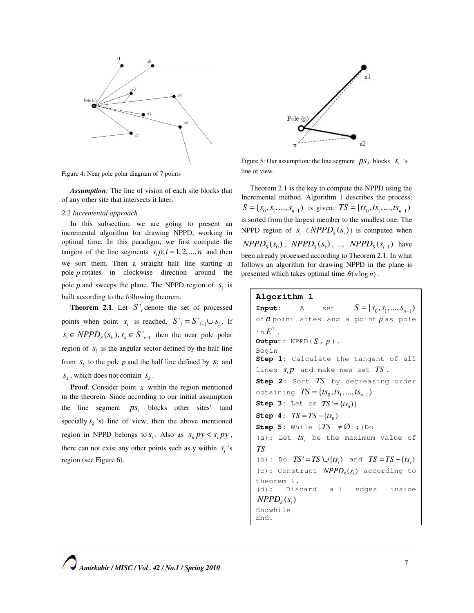

Figure 4: Near pole polar diagram of 7 points

Assumption: The line of vision of each site blocks that of any other site that intersects it later.

# 2.2 Incremental approach

In this subsection, we are going to present an incremental algorithm for drawing NPPD, working in optimal time. In this paradigm, we first compute the tangent of the line segments  $s_i p; i = 1, 2, ..., n$  and then we sort them. Then a straight half line starting at pole p rotates in clockwise direction around the pole  $p$  and sweeps the plane. The NPPD region of  $s_i$  is built according to the following theorem.

**Theorem 2.1.** Let  $S_i$  denote the set of processed points when point  $s_i$  is reached,  $S'_{i} = S'_{i-1} \cup s_i$ . If  $s_i \in NPPD_s(s_k), s_k \in S'_{i-1}$  then the near pole polar region of  $s_i$  is the angular sector defined by the half line from  $s_i$  to the pole p and the half line defined by  $s_i$  and  $s_k$ , which does not contain  $s_k$ .

**Proof.** Consider point  $x$  within the region mentioned in the theorem. Since according to our initial assumption the line segment  $ps_i$  blocks other sites' (and specially  $s_k$ 's) line of view, then the above mentioned region in NPPD belongs to  $s_i$ . Also as  $s_k py < s_i py$ , there can not exist any other points such as y within  $s_i$ 's region (see Figure 6).



Figure 5: Our assumption: the line segment  $ps_2$  blocks  $s_1$  's line of view.

Theorem 2.1 is the key to compute the NPPD using the Incremental method. Algorithm 1 describes the process:  $S = \{s_0, s_1, ..., s_{n-1}\}\$ is given.  $TS = \{ts_0, ts_1, ..., ts_{n-1}\}\$ is sorted from the largest member to the smallest one. The NPPD region of  $s_i$  ( $NPPD_s(s_i)$ ) is computed when  $NPPD<sub>S</sub>(s<sub>0</sub>)$ ,  $NPPD<sub>S</sub>(s<sub>1</sub>)$ , ...,  $NPPD<sub>S</sub>(s<sub>i-1</sub>)$  have been already processed according to Theorem 2.1. In what follows an algorithm for drawing NPPD in the plane is presented which takes optimal time  $\theta$  (*n* log *n*).

# Algorithm 1

**Input:** A set  $S = \{S_0, S_1, ..., S_{n-1}\}\)$ of  $n$  point sites and a point  $p$  as pole in  $E^2$ . Output:  $NPPD(S, p)$ . Begin Step 1: Calculate the tangent of all lines  $s_i p$  and make new set  $TS$ . Step 2: Sort TS by decreasing order obtaining  $TS = \{ts_0, ts_1, ..., ts_{n-1}\}\$ **Step 3:** Let be  $TS' = \{ ts_0 \}$ Step 4:  $TS = TS - \{ts_0\}$ Step 5: While  $\{TS \neq \emptyset\}$  ; }Do (a): Let  $ts_i$  be the maximum value of TS (b): Do  $TS' = TS' \cup \{ts_i\}$  and  $TS = TS - \{ts_i\}$ (c): Construct  $NPPD<sub>s</sub>(s<sub>i</sub>)$  according to theorem 1. (d): Discard all edges inside  $NPPD<sub>s</sub>(s<sub>i</sub>)$ Endwhile End.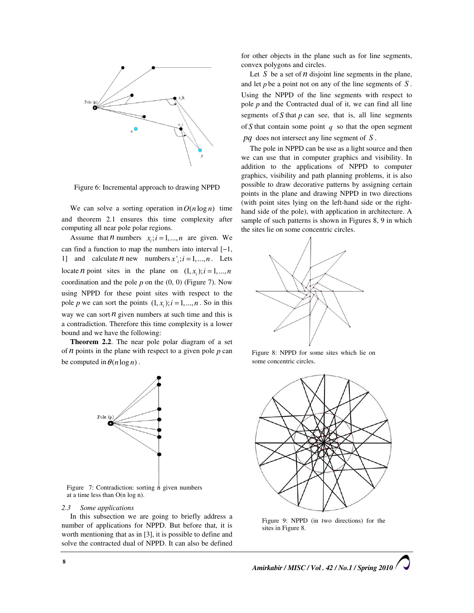

Figure 6: Incremental approach to drawing NPPD

We can solve a sorting operation in  $O(n \log n)$  time and theorem 2.1 ensures this time complexity after computing all near pole polar regions.

Assume that *n* numbers  $x_i$ ;  $i = 1,...,n$  are given. We can find a function to map the numbers into interval [−1, 1] and calculate *n* new numbers  $x'$ ;  $i = 1,..., n$ . Lets locate *n* point sites in the plane on  $(1, x_i); i = 1,..., n$ coordination and the pole  $p$  on the  $(0, 0)$  (Figure 7). Now using NPPD for these point sites with respect to the pole p we can sort the points  $(1, x_i); i = 1, \dots, n$ . So in this way we can sort  $n$  given numbers at such time and this is a contradiction. Therefore this time complexity is a lower bound and we have the following:

Theorem 2.2. The near pole polar diagram of a set of  $n$  points in the plane with respect to a given pole  $p$  can be computed in  $\theta(n \log n)$ .



Figure 7: Contradiction: sorting  $n$  given numbers at a time less than O(n log n).

#### 2.3 Some applications

In this subsection we are going to briefly address a number of applications for NPPD. But before that, it is worth mentioning that as in [3], it is possible to define and solve the contracted dual of NPPD. It can also be defined for other objects in the plane such as for line segments, convex polygons and circles.

Let  $S$  be a set of  $n$  disjoint line segments in the plane, and let  $p$  be a point not on any of the line segments of  $S$ . Using the NPPD of the line segments with respect to pole  $p$  and the Contracted dual of it, we can find all line segments of  $S$  that  $p$  can see, that is, all line segments of S that contain some point  $q$  so that the open segment  $pq$  does not intersect any line segment of  $S$ .

The pole in NPPD can be use as a light source and then we can use that in computer graphics and visibility. In addition to the applications of NPPD to computer graphics, visibility and path planning problems, it is also possible to draw decorative patterns by assigning certain points in the plane and drawing NPPD in two directions (with point sites lying on the left-hand side or the righthand side of the pole), with application in architecture. A sample of such patterns is shown in Figures 8, 9 in which the sites lie on some concentric circles.



Figure 8: NPPD for some sites which lie on some concentric circles.



Figure 9: NPPD (in two directions) for the sites in Figure 8.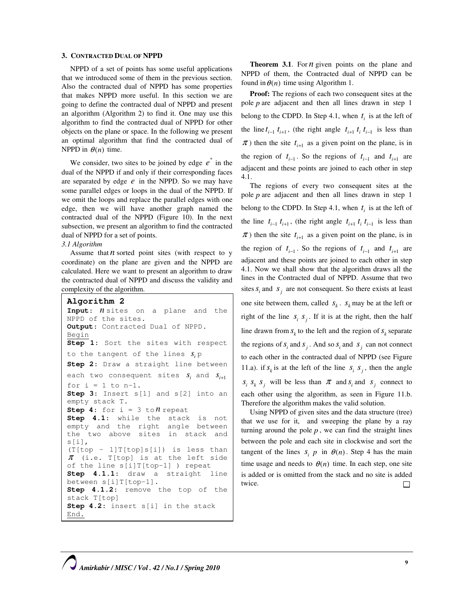# 3. CONTRACTED DUAL OF NPPD

NPPD of a set of points has some useful applications that we introduced some of them in the previous section. Also the contracted dual of NPPD has some properties that makes NPPD more useful. In this section we are going to define the contracted dual of NPPD and present an algorithm (Algorithm 2) to find it. One may use this algorithm to find the contracted dual of NPPD for other objects on the plane or space. In the following we present an optimal algorithm that find the contracted dual of NPPD in  $\theta(n)$  time.

We consider, two sites to be joined by edge  $e^*$  in the dual of the NPPD if and only if their corresponding faces are separated by edge  $e$  in the NPPD. So we may have some parallel edges or loops in the dual of the NPPD. If we omit the loops and replace the parallel edges with one edge, then we will have another graph named the contracted dual of the NPPD (Figure 10). In the next subsection, we present an algorithm to find the contracted dual of NPPD for a set of points.

## 3.1 Algorithm

Assume that  $n$  sorted point sites (with respect to y coordinate) on the plane are given and the NPPD are calculated. Here we want to present an algorithm to draw the contracted dual of NPPD and discuss the validity and complexity of the algorithm.

```
Algorithm 2 
Input: n sites on a plane and the
NPPD of the sites. 
Output: Contracted Dual of NPPD.
Begin
Step 1: Sort the sites with respect
to the tangent of the lines S_i p
Step 2: Draw a straight line between
each two consequent sites s_{i} and s_{i+1}for i = 1 to n-1.
Step 3: Insert s[1] and s[2] into an
empty stack T. 
Step 4: for i = 3 to n repeat
Step 4.1: while the stack is not
empty and the right angle between 
the two above sites in stack and 
s[i], 
(T[top − 1]T[top]s[i]) is less than 
\pi (i.e. T[top] is at the left side
of the line s[i]T[top−1] ) repeat 
Step 4.1.1: draw a straight line
between s[i]T[top−1]. 
Step 4.1.2: remove the top of the
stack T[top] 
Step 4.2: insert s[i] in the stack
End.
```
**Theorem 3.1.** For  $n$  given points on the plane and NPPD of them, the Contracted dual of NPPD can be found in  $\theta(n)$  time using Algorithm 1.

Proof: The regions of each two consequent sites at the pole  $p$  are adjacent and then all lines drawn in step 1 belong to the CDPD. In Step 4.1, when  $t_i$  is at the left of the line  $t_{i-1}$   $t_{i+1}$ , (the right angle  $t_{i+1}$   $t_i$   $t_{i-1}$  is less than  $\pi$ ) then the site  $t_{i+1}$  as a given point on the plane, is in the region of  $t_{i-1}$ . So the regions of  $t_{i-1}$  and  $t_{i+1}$  are adjacent and these points are joined to each other in step 4.1.

The regions of every two consequent sites at the pole p are adjacent and then all lines drawn in step 1 belong to the CDPD. In Step 4.1, when  $t_i$  is at the left of the line  $t_{i-1}$ , (the right angle  $t_{i+1}$ ,  $t_i$ ,  $t_{i-1}$  is less than  $\pi$ ) then the site  $t_{i+1}$  as a given point on the plane, is in the region of  $t_{i-1}$ . So the regions of  $t_{i-1}$  and  $t_{i+1}$  are adjacent and these points are joined to each other in step 4.1. Now we shall show that the algorithm draws all the lines in the Contracted dual of NPPD. Assume that two sites  $s_i$  and  $s_j$  are not consequent. So there exists at least one site between them, called  $S_k$ .  $S_k$  may be at the left or right of the line  $s_i$ ,  $s_j$ . If it is at the right, then the half line drawn from  $s_k$  to the left and the region of  $s_k$  separate the regions of  $s_i$  and  $s_j$ . And so  $s_i$  and  $s_j$  can not connect to each other in the contracted dual of NPPD (see Figure 11.a). if  $s_k$  is at the left of the line  $s_i$ ,  $s_j$ , then the angle  $s_i$ ,  $s_k$  is such than  $\pi$  and  $s_i$  and  $s_j$  connect to each other using the algorithm, as seen in Figure 11.b. Therefore the algorithm makes the valid solution.

Using NPPD of given sites and the data structure (tree) that we use for it, and sweeping the plane by a ray turning around the pole  $p$ , we can find the straight lines between the pole and each site in clockwise and sort the tangent of the lines  $s_i$  p in  $\theta(n)$ . Step 4 has the main time usage and needs to  $\theta(n)$  time. In each step, one site is added or is omitted from the stack and no site is added twice.  $\Box$